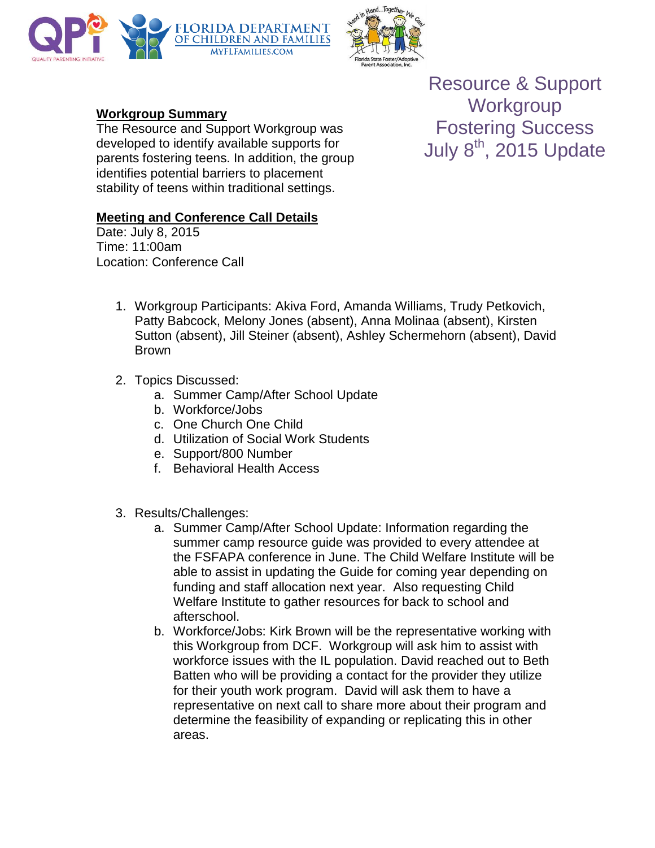



## **Workgroup Summary**

The Resource and Support Workgroup was developed to identify available supports for parents fostering teens. In addition, the group identifies potential barriers to placement stability of teens within traditional settings.

## **Meeting and Conference Call Details**

Date: July 8, 2015 Time: 11:00am Location: Conference Call

- 1. Workgroup Participants: Akiva Ford, Amanda Williams, Trudy Petkovich, Patty Babcock, Melony Jones (absent), Anna Molinaa (absent), Kirsten Sutton (absent), Jill Steiner (absent), Ashley Schermehorn (absent), David Brown
- 2. Topics Discussed:
	- a. Summer Camp/After School Update
	- b. Workforce/Jobs
	- c. One Church One Child
	- d. Utilization of Social Work Students
	- e. Support/800 Number
	- f. Behavioral Health Access
- 3. Results/Challenges:
	- a. Summer Camp/After School Update: Information regarding the summer camp resource guide was provided to every attendee at the FSFAPA conference in June. The Child Welfare Institute will be able to assist in updating the Guide for coming year depending on funding and staff allocation next year. Also requesting Child Welfare Institute to gather resources for back to school and afterschool.
	- b. Workforce/Jobs: Kirk Brown will be the representative working with this Workgroup from DCF. Workgroup will ask him to assist with workforce issues with the IL population. David reached out to Beth Batten who will be providing a contact for the provider they utilize for their youth work program. David will ask them to have a representative on next call to share more about their program and determine the feasibility of expanding or replicating this in other areas.

Resource & Support **Workgroup** Fostering Success July  $8<sup>th</sup>$ , 2015 Update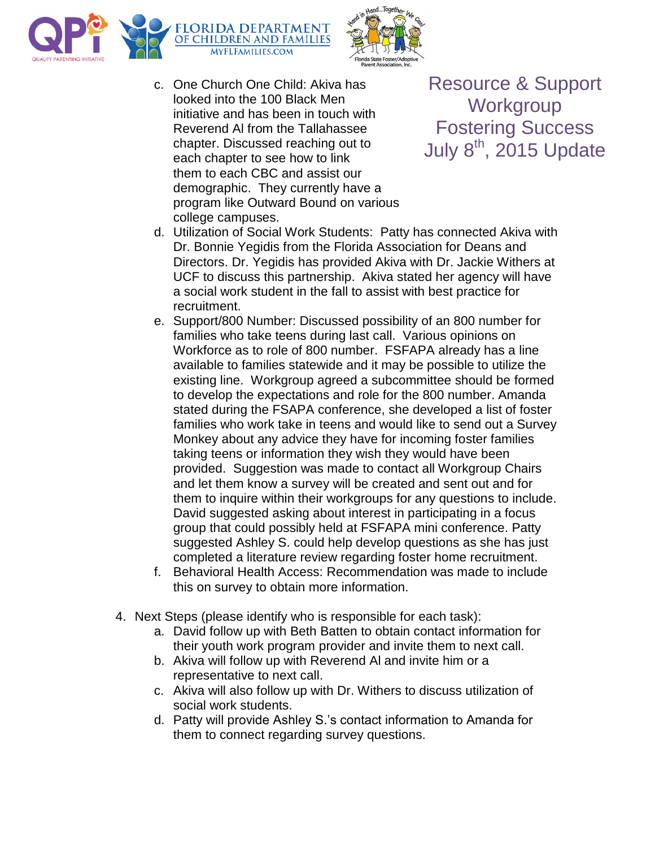



c. One Church One Child: Akiva has looked into the 100 Black Men initiative and has been in touch with Reverend Al from the Tallahassee chapter. Discussed reaching out to each chapter to see how to link them to each CBC and assist our demographic. They currently have a program like Outward Bound on various college campuses.

Resource & Support **Workgroup** Fostering Success July  $8<sup>th</sup>$ , 2015 Update

- d. Utilization of Social Work Students: Patty has connected Akiva with Dr. Bonnie Yegidis from the Florida Association for Deans and Directors. Dr. Yegidis has provided Akiva with Dr. Jackie Withers at UCF to discuss this partnership. Akiva stated her agency will have a social work student in the fall to assist with best practice for recruitment.
- e. Support/800 Number: Discussed possibility of an 800 number for families who take teens during last call. Various opinions on Workforce as to role of 800 number. FSFAPA already has a line available to families statewide and it may be possible to utilize the existing line. Workgroup agreed a subcommittee should be formed to develop the expectations and role for the 800 number. Amanda stated during the FSAPA conference, she developed a list of foster families who work take in teens and would like to send out a Survey Monkey about any advice they have for incoming foster families taking teens or information they wish they would have been provided. Suggestion was made to contact all Workgroup Chairs and let them know a survey will be created and sent out and for them to inquire within their workgroups for any questions to include. David suggested asking about interest in participating in a focus group that could possibly held at FSFAPA mini conference. Patty suggested Ashley S. could help develop questions as she has just completed a literature review regarding foster home recruitment.
- f. Behavioral Health Access: Recommendation was made to include this on survey to obtain more information.
- 4. Next Steps (please identify who is responsible for each task):
	- a. David follow up with Beth Batten to obtain contact information for their youth work program provider and invite them to next call.
	- b. Akiva will follow up with Reverend Al and invite him or a representative to next call.
	- c. Akiva will also follow up with Dr. Withers to discuss utilization of social work students.
	- d. Patty will provide Ashley S.'s contact information to Amanda for them to connect regarding survey questions.